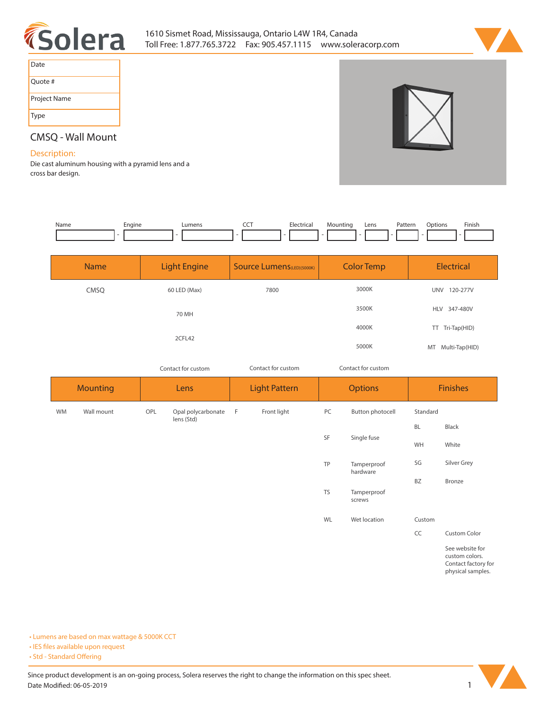



| Date         |
|--------------|
| Quote #      |
| Project Name |
| Type         |

## **CMSQ - Wall Mount**

## **Description:**

**Die cast aluminum housing with a pyramid lens and a cross bar design.**

| Name | Engine                   | Lumens | $\overline{\phantom{a}}$ | Electrical | Mounting                        | Lens | Pattern       | Finish<br>Options |
|------|--------------------------|--------|--------------------------|------------|---------------------------------|------|---------------|-------------------|
|      | $\overline{\phantom{a}}$ | $\sim$ | $\sim$                   |            | . .<br>$\overline{\phantom{a}}$ |      | $\sim$<br>. . | $\sim$            |

| <b>Name</b> | <b>Light Engine</b> | <b>Source Lumens</b> (LED)(5000K) | <b>Color Temp</b> | Electrical             |
|-------------|---------------------|-----------------------------------|-------------------|------------------------|
| CMSQ        | 60 LED (Max)        | 7800                              | 3000K             | 120-277V<br><b>UNV</b> |
|             | 70 MH               |                                   | 3500K             | HLV 347-480V           |
|             |                     |                                   | 4000K             | TT Tri-Tap(HID)        |
|             | 2CFL42              |                                   | 5000K             | Multi-Tap(HID)<br>MT   |

*Contact for custom*

*Contact for custom Contact for custom*

| <b>Mounting</b> |            | Lens |                                  | <b>Light Pattern</b> |             | <b>Options</b> |                         | <b>Finishes</b> |                                                                               |
|-----------------|------------|------|----------------------------------|----------------------|-------------|----------------|-------------------------|-----------------|-------------------------------------------------------------------------------|
| <b>WM</b>       | Wall mount | OPL  | Opal polycarbonate<br>lens (Std) | - F                  | Front light | PC             | Button photocell        | Standard        |                                                                               |
|                 |            |      |                                  |                      |             |                | Single fuse             | BL              | Black                                                                         |
|                 |            |      |                                  |                      |             | SF             |                         | WH              | White                                                                         |
|                 |            |      |                                  |                      |             | TP             | Tamperproof<br>hardware | SG              | Silver Grey                                                                   |
|                 |            |      |                                  |                      |             |                |                         | BZ              | Bronze                                                                        |
|                 |            |      |                                  |                      |             | <b>TS</b>      | Tamperproof<br>screws   |                 |                                                                               |
|                 |            |      |                                  |                      |             | WL             | Wet location            | Custom          |                                                                               |
|                 |            |      |                                  |                      |             |                |                         | CC              | Custom Color                                                                  |
|                 |            |      |                                  |                      |             |                |                         |                 | See website for<br>custom colors.<br>Contact factory for<br>physical samples. |

**• Lumens are based on max wattage & 5000K CCT**

**• IES files available upon request** 

• Std - Standard Offering

Since product development is an on-going process, Solera reserves the right to change the information on this spec sheet. **Date Modified: 06-05-2019** 1